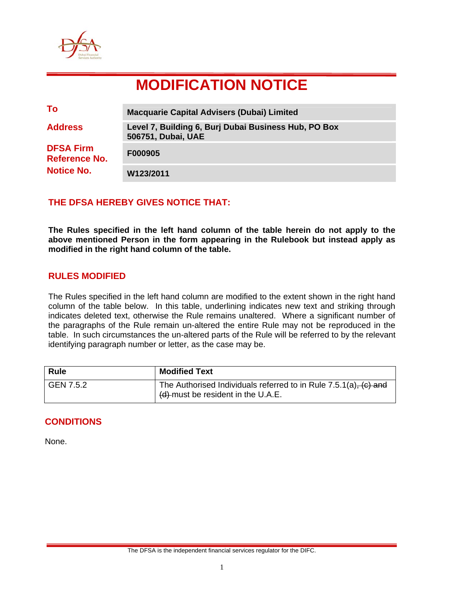

# **MODIFICATION NOTICE**

| To                                                     | <b>Macquarie Capital Advisers (Dubai) Limited</b>                          |
|--------------------------------------------------------|----------------------------------------------------------------------------|
| <b>Address</b>                                         | Level 7, Building 6, Burj Dubai Business Hub, PO Box<br>506751, Dubai, UAE |
| <b>DFSA Firm</b><br>Reference No.<br><b>Notice No.</b> | F000905                                                                    |
|                                                        | W123/2011                                                                  |

## **THE DFSA HEREBY GIVES NOTICE THAT:**

**The Rules specified in the left hand column of the table herein do not apply to the above mentioned Person in the form appearing in the Rulebook but instead apply as modified in the right hand column of the table.** 

## **RULES MODIFIED**

The Rules specified in the left hand column are modified to the extent shown in the right hand column of the table below. In this table, underlining indicates new text and striking through indicates deleted text, otherwise the Rule remains unaltered. Where a significant number of the paragraphs of the Rule remain un-altered the entire Rule may not be reproduced in the table. In such circumstances the un-altered parts of the Rule will be referred to by the relevant identifying paragraph number or letter, as the case may be.

| <b>Rule</b> | <b>Modified Text</b>                                                                                        |
|-------------|-------------------------------------------------------------------------------------------------------------|
| GEN 7.5.2   | The Authorised Individuals referred to in Rule $7.5.1(a)$ , $(c)$ and<br>(d) must be resident in the U.A.E. |

## **CONDITIONS**

None.